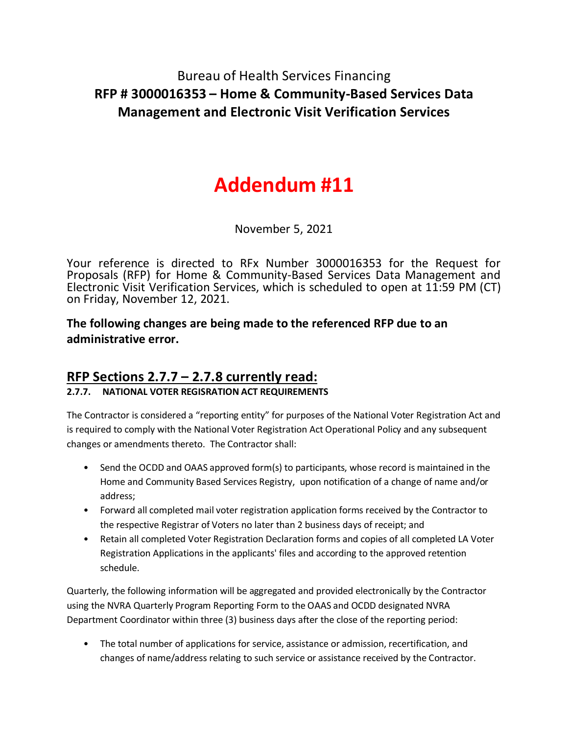## Bureau of Health Services Financing **RFP # 3000016353 – Home & Community-Based Services Data Management and Electronic Visit Verification Services**

# **Addendum #11**

November 5, 2021

Your reference is directed to RFx Number 3000016353 for the Request for Proposals (RFP) for Home & Community-Based Services Data Management and Electronic Visit Verification Services, which is scheduled to open at 11:59 PM (CT) on Friday, November 12, 2021.

**The following changes are being made to the referenced RFP due to an administrative error.**

### **RFP Sections 2.7.7 – 2.7.8 currently read:**

#### **2.7.7. NATIONAL VOTER REGISRATION ACT REQUIREMENTS**

The Contractor is considered a "reporting entity" for purposes of the National Voter Registration Act and is required to comply with the National Voter Registration Act Operational Policy and any subsequent changes or amendments thereto. The Contractor shall:

- Send the OCDD and OAAS approved form(s) to participants, whose record is maintained in the Home and Community Based Services Registry, upon notification of a change of name and/or address;
- Forward all completed mail voter registration application forms received by the Contractor to the respective Registrar of Voters no later than 2 business days of receipt; and
- Retain all completed Voter Registration Declaration forms and copies of all completed LA Voter Registration Applications in the applicants' files and according to the approved retention schedule.

Quarterly, the following information will be aggregated and provided electronically by the Contractor using the NVRA Quarterly Program Reporting Form to the OAAS and OCDD designated NVRA Department Coordinator within three (3) business days after the close of the reporting period:

• The total number of applications for service, assistance or admission, recertification, and changes of name/address relating to such service or assistance received by the Contractor.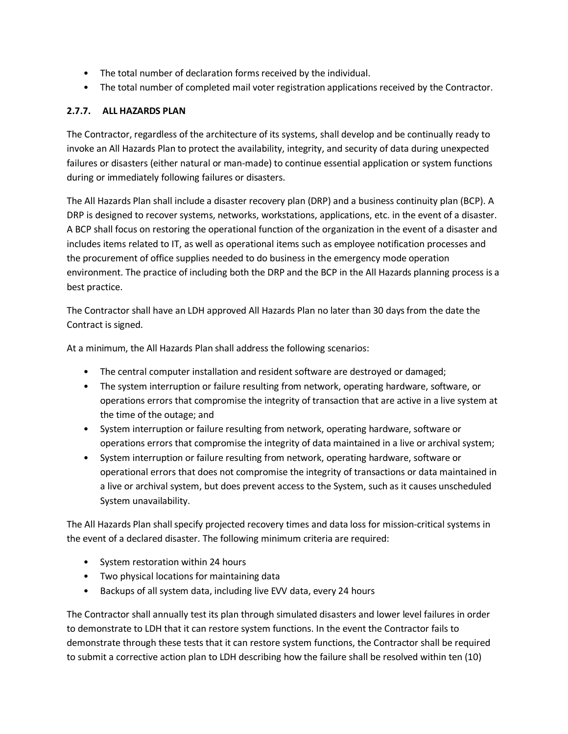- The total number of declaration forms received by the individual.
- The total number of completed mail voter registration applications received by the Contractor.

#### **2.7.7. ALL HAZARDS PLAN**

The Contractor, regardless of the architecture of its systems, shall develop and be continually ready to invoke an All Hazards Plan to protect the availability, integrity, and security of data during unexpected failures or disasters (either natural or man-made) to continue essential application or system functions during or immediately following failures or disasters.

The All Hazards Plan shall include a disaster recovery plan (DRP) and a business continuity plan (BCP). A DRP is designed to recover systems, networks, workstations, applications, etc. in the event of a disaster. A BCP shall focus on restoring the operational function of the organization in the event of a disaster and includes items related to IT, as well as operational items such as employee notification processes and the procurement of office supplies needed to do business in the emergency mode operation environment. The practice of including both the DRP and the BCP in the All Hazards planning process is a best practice.

The Contractor shall have an LDH approved All Hazards Plan no later than 30 days from the date the Contract is signed.

At a minimum, the All Hazards Plan shall address the following scenarios:

- The central computer installation and resident software are destroyed or damaged;
- The system interruption or failure resulting from network, operating hardware, software, or operations errors that compromise the integrity of transaction that are active in a live system at the time of the outage; and
- System interruption or failure resulting from network, operating hardware, software or operations errors that compromise the integrity of data maintained in a live or archival system;
- System interruption or failure resulting from network, operating hardware, software or operational errors that does not compromise the integrity of transactions or data maintained in a live or archival system, but does prevent access to the System, such as it causes unscheduled System unavailability.

The All Hazards Plan shall specify projected recovery times and data loss for mission-critical systems in the event of a declared disaster. The following minimum criteria are required:

- System restoration within 24 hours
- Two physical locations for maintaining data
- Backups of all system data, including live EVV data, every 24 hours

The Contractor shall annually test its plan through simulated disasters and lower level failures in order to demonstrate to LDH that it can restore system functions. In the event the Contractor fails to demonstrate through these tests that it can restore system functions, the Contractor shall be required to submit a corrective action plan to LDH describing how the failure shall be resolved within ten (10)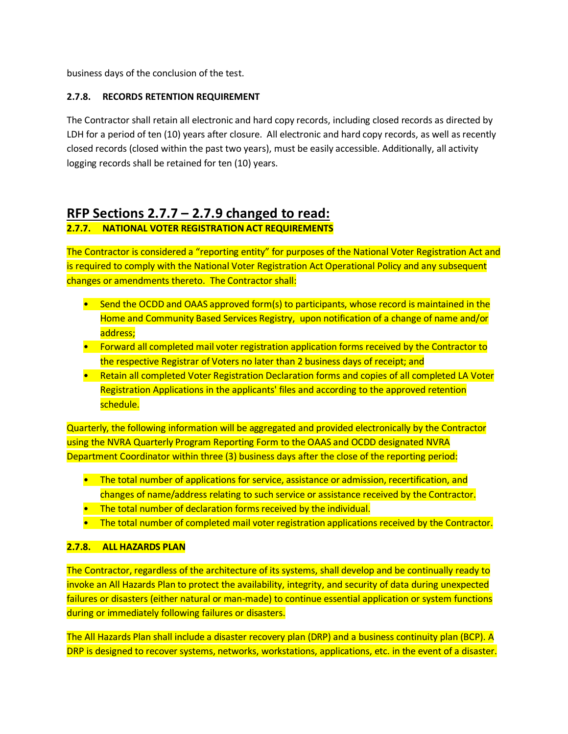business days of the conclusion of the test.

#### **2.7.8. RECORDS RETENTION REQUIREMENT**

The Contractor shall retain all electronic and hard copy records, including closed records as directed by LDH for a period of ten (10) years after closure. All electronic and hard copy records, as well as recently closed records (closed within the past two years), must be easily accessible. Additionally, all activity logging records shall be retained for ten (10) years.

## **RFP Sections 2.7.7 – 2.7.9 changed to read:**

#### **2.7.7. NATIONAL VOTER REGISTRATION ACT REQUIREMENTS**

The Contractor is considered a "reporting entity" for purposes of the National Voter Registration Act and is required to comply with the National Voter Registration Act Operational Policy and any subsequent changes or amendments thereto. The Contractor shall:

- Send the OCDD and OAAS approved form(s) to participants, whose record is maintained in the Home and Community Based Services Registry, upon notification of a change of name and/or address;
- Forward all completed mail voter registration application forms received by the Contractor to the respective Registrar of Voters no later than 2 business days of receipt; and
- Retain all completed Voter Registration Declaration forms and copies of all completed LA Voter Registration Applications in the applicants' files and according to the approved retention schedule.

Quarterly, the following information will be aggregated and provided electronically by the Contractor using the NVRA Quarterly Program Reporting Form to the OAAS and OCDD designated NVRA Department Coordinator within three (3) business days after the close of the reporting period:

- The total number of applications for service, assistance or admission, recertification, and changes of name/address relating to such service or assistance received by the Contractor.
- The total number of declaration forms received by the individual.
- The total number of completed mail voter registration applications received by the Contractor.

#### **2.7.8. ALL HAZARDS PLAN**

The Contractor, regardless of the architecture of its systems, shall develop and be continually ready to invoke an All Hazards Plan to protect the availability, integrity, and security of data during unexpected failures or disasters (either natural or man-made) to continue essential application or system functions during or immediately following failures or disasters.

The All Hazards Plan shall include a disaster recovery plan (DRP) and a business continuity plan (BCP). A DRP is designed to recover systems, networks, workstations, applications, etc. in the event of a disaster.